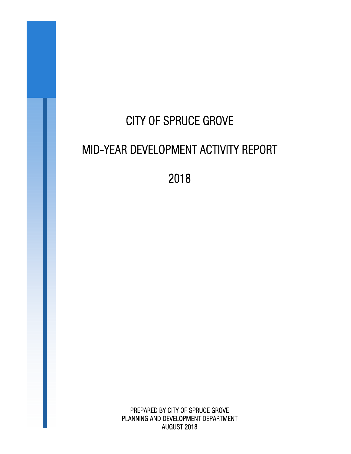# CITY OF SPRUCE GROVE MID-YEAR DEVELOPMENT ACTIVITY REPORT

2018

PREPARED BY CITY OF SPRUCE GROVE PLANNING AND DEVELOPMENT DEPARTMENT AUGUST 2018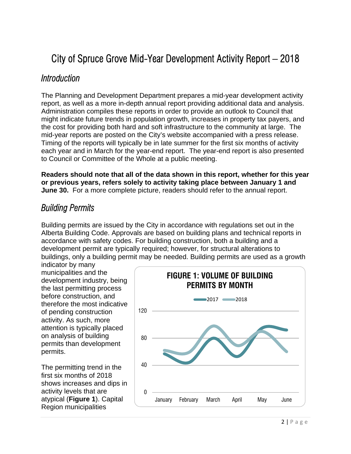# City of Spruce Grove Mid-Year Development Activity Report – 2018

#### *Introduction*

The Planning and Development Department prepares a mid-year development activity report, as well as a more in-depth annual report providing additional data and analysis. Administration compiles these reports in order to provide an outlook to Council that might indicate future trends in population growth, increases in property tax payers, and the cost for providing both hard and soft infrastructure to the community at large. The mid-year reports are posted on the City's website accompanied with a press release. Timing of the reports will typically be in late summer for the first six months of activity each year and in March for the year-end report. The year-end report is also presented to Council or Committee of the Whole at a public meeting.

**Readers should note that all of the data shown in this report, whether for this year or previous years, refers solely to activity taking place between January 1 and June 30.** For a more complete picture, readers should refer to the annual report.

#### *Building Permits*

Building permits are issued by the City in accordance with regulations set out in the Alberta Building Code. Approvals are based on building plans and technical reports in accordance with safety codes. For building construction, both a building and a development permit are typically required; however, for structural alterations to buildings, only a building permit may be needed. Building permits are used as a growth

indicator by many municipalities and the development industry, being the last permitting process before construction, and therefore the most indicative of pending construction activity. As such, more attention is typically placed on analysis of building permits than development permits.

The permitting trend in the first six months of 2018 shows increases and dips in activity levels that are atypical (**Figure 1**). Capital Region municipalities

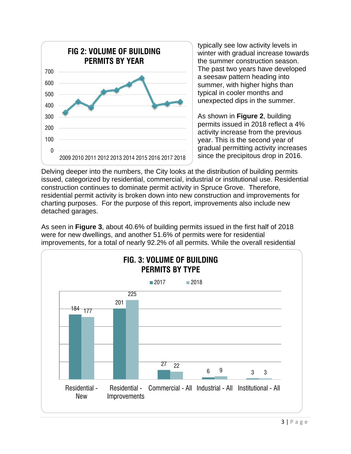

typically see low activity levels in winter with gradual increase towards the summer construction season. The past two years have developed a seesaw pattern heading into summer, with higher highs than typical in cooler months and unexpected dips in the summer.

As shown in **Figure 2**, building permits issued in 2018 reflect a 4% activity increase from the previous year. This is the second year of gradual permitting activity increases since the precipitous drop in 2016.

Delving deeper into the numbers, the City looks at the distribution of building permits issued, categorized by residential, commercial, industrial or institutional use. Residential construction continues to dominate permit activity in Spruce Grove. Therefore, residential permit activity is broken down into new construction and improvements for charting purposes. For the purpose of this report, improvements also include new detached garages.

As seen in **Figure 3**, about 40.6% of building permits issued in the first half of 2018 were for new dwellings, and another 51.6% of permits were for residential improvements, for a total of nearly 92.2% of all permits. While the overall residential

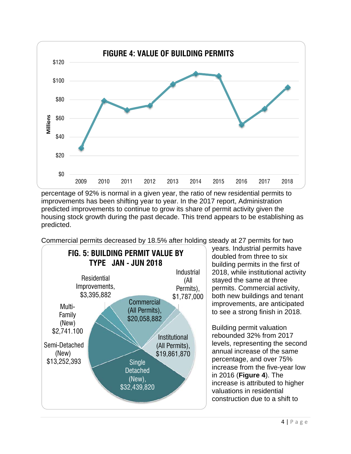

percentage of 92% is normal in a given year, the ratio of new residential permits to improvements has been shifting year to year. In the 2017 report, Administration predicted improvements to continue to grow its share of permit activity given the housing stock growth during the past decade. This trend appears to be establishing as predicted.

Commercial permits decreased by 18.5% after holding steady at 27 permits for two



years. Industrial permits have doubled from three to six building permits in the first of 2018, while institutional activity stayed the same at three permits. Commercial activity, both new buildings and tenant improvements, are anticipated to see a strong finish in 2018.

Building permit valuation rebounded 32% from 2017 levels, representing the second annual increase of the same percentage, and over 75% increase from the five-year low in 2016 (**Figure 4**). The increase is attributed to higher valuations in residential construction due to a shift to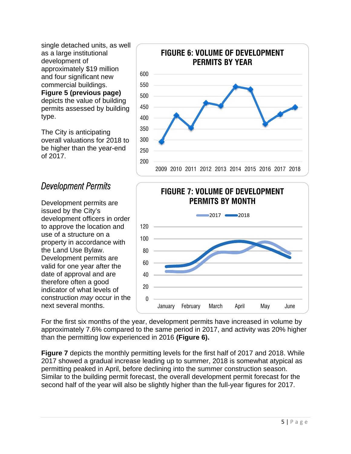single detached units, as well as a large institutional development of approximately \$19 million and four significant new commercial buildings. **Figure 5 (previous page)** depicts the value of building permits assessed by building type.

The City is anticipating overall valuations for 2018 to be higher than the year-end of 2017.

### *Development Permits*

Development permits are issued by the City's development officers in order to approve the location and use of a structure on a property in accordance with the Land Use Bylaw. Development permits are valid for one year after the date of approval and are therefore often a good indicator of what levels of construction *may* occur in the next several months.





For the first six months of the year, development permits have increased in volume by approximately 7.6% compared to the same period in 2017, and activity was 20% higher than the permitting low experienced in 2016 **(Figure 6).**

**Figure 7** depicts the monthly permitting levels for the first half of 2017 and 2018. While 2017 showed a gradual increase leading up to summer, 2018 is somewhat atypical as permitting peaked in April, before declining into the summer construction season. Similar to the building permit forecast, the overall development permit forecast for the second half of the year will also be slightly higher than the full-year figures for 2017.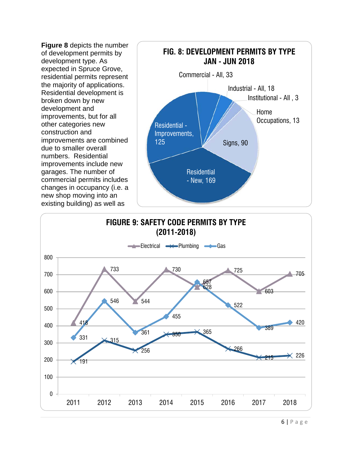**Figure 8** depicts the number of development permits by development type. As expected in Spruce Grove, residential permits represent the majority of applications. Residential development is broken down by new development and improvements, but for all other categories new construction and improvements are combined due to smaller overall numbers. Residential improvements include new garages. The number of commercial permits includes changes in occupancy (i.e. a new shop moving into an existing building) as well as